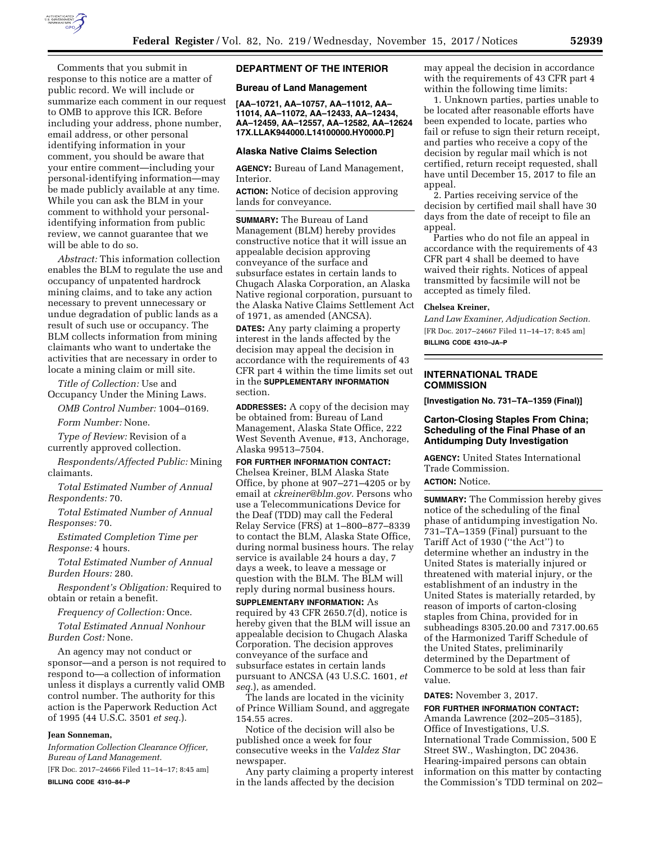

Comments that you submit in response to this notice are a matter of public record. We will include or summarize each comment in our request to OMB to approve this ICR. Before including your address, phone number, email address, or other personal identifying information in your comment, you should be aware that your entire comment—including your personal-identifying information—may be made publicly available at any time. While you can ask the BLM in your comment to withhold your personalidentifying information from public review, we cannot guarantee that we will be able to do so.

*Abstract:* This information collection enables the BLM to regulate the use and occupancy of unpatented hardrock mining claims, and to take any action necessary to prevent unnecessary or undue degradation of public lands as a result of such use or occupancy. The BLM collects information from mining claimants who want to undertake the activities that are necessary in order to locate a mining claim or mill site.

*Title of Collection:* Use and Occupancy Under the Mining Laws.

*OMB Control Number:* 1004–0169.

*Form Number:* None.

*Type of Review:* Revision of a currently approved collection.

*Respondents/Affected Public:* Mining claimants.

*Total Estimated Number of Annual Respondents:* 70.

*Total Estimated Number of Annual Responses:* 70.

*Estimated Completion Time per Response:* 4 hours.

*Total Estimated Number of Annual Burden Hours:* 280.

*Respondent's Obligation:* Required to obtain or retain a benefit.

*Frequency of Collection:* Once.

*Total Estimated Annual Nonhour Burden Cost:* None.

An agency may not conduct or sponsor—and a person is not required to respond to—a collection of information unless it displays a currently valid OMB control number. The authority for this action is the Paperwork Reduction Act of 1995 (44 U.S.C. 3501 *et seq.*).

# **Jean Sonneman,**

*Information Collection Clearance Officer, Bureau of Land Management.* 

[FR Doc. 2017–24666 Filed 11–14–17; 8:45 am] **BILLING CODE 4310–84–P** 

# **DEPARTMENT OF THE INTERIOR**

#### **Bureau of Land Management**

**[AA–10721, AA–10757, AA–11012, AA– 11014, AA–11072, AA–12433, AA–12434, AA–12459, AA–12557, AA–12582, AA–12624 17X.LLAK944000.L14100000.HY0000.P]** 

#### **Alaska Native Claims Selection**

**AGENCY:** Bureau of Land Management, Interior.

**ACTION:** Notice of decision approving lands for conveyance.

**SUMMARY:** The Bureau of Land Management (BLM) hereby provides constructive notice that it will issue an appealable decision approving conveyance of the surface and subsurface estates in certain lands to Chugach Alaska Corporation, an Alaska Native regional corporation, pursuant to the Alaska Native Claims Settlement Act of 1971, as amended (ANCSA).

**DATES:** Any party claiming a property interest in the lands affected by the decision may appeal the decision in accordance with the requirements of 43 CFR part 4 within the time limits set out in the **SUPPLEMENTARY INFORMATION** section.

**ADDRESSES:** A copy of the decision may be obtained from: Bureau of Land Management, Alaska State Office, 222 West Seventh Avenue, #13, Anchorage, Alaska 99513–7504.

#### **FOR FURTHER INFORMATION CONTACT:**

Chelsea Kreiner, BLM Alaska State Office, by phone at 907–271–4205 or by email at *[ckreiner@blm.gov.](mailto:ckreiner@blm.gov)* Persons who use a Telecommunications Device for the Deaf (TDD) may call the Federal Relay Service (FRS) at 1–800–877–8339 to contact the BLM, Alaska State Office, during normal business hours. The relay service is available 24 hours a day, 7 days a week, to leave a message or question with the BLM. The BLM will reply during normal business hours.

**SUPPLEMENTARY INFORMATION:** As required by 43 CFR 2650.7(d), notice is hereby given that the BLM will issue an appealable decision to Chugach Alaska Corporation. The decision approves conveyance of the surface and subsurface estates in certain lands pursuant to ANCSA (43 U.S.C. 1601, *et seq.*), as amended.

The lands are located in the vicinity of Prince William Sound, and aggregate 154.55 acres.

Notice of the decision will also be published once a week for four consecutive weeks in the *Valdez Star*  newspaper.

Any party claiming a property interest in the lands affected by the decision

may appeal the decision in accordance with the requirements of 43 CFR part 4 within the following time limits:

1. Unknown parties, parties unable to be located after reasonable efforts have been expended to locate, parties who fail or refuse to sign their return receipt, and parties who receive a copy of the decision by regular mail which is not certified, return receipt requested, shall have until December 15, 2017 to file an appeal.

2. Parties receiving service of the decision by certified mail shall have 30 days from the date of receipt to file an appeal.

Parties who do not file an appeal in accordance with the requirements of 43 CFR part 4 shall be deemed to have waived their rights. Notices of appeal transmitted by facsimile will not be accepted as timely filed.

#### **Chelsea Kreiner,**

*Land Law Examiner, Adjudication Section.*  [FR Doc. 2017–24667 Filed 11–14–17; 8:45 am] **BILLING CODE 4310–JA–P** 

### **INTERNATIONAL TRADE COMMISSION**

**[Investigation No. 731–TA–1359 (Final)]** 

## **Carton-Closing Staples From China; Scheduling of the Final Phase of an Antidumping Duty Investigation**

**AGENCY:** United States International Trade Commission.

## **ACTION:** Notice.

**SUMMARY:** The Commission hereby gives notice of the scheduling of the final phase of antidumping investigation No. 731–TA–1359 (Final) pursuant to the Tariff Act of 1930 (''the Act'') to determine whether an industry in the United States is materially injured or threatened with material injury, or the establishment of an industry in the United States is materially retarded, by reason of imports of carton-closing staples from China, provided for in subheadings 8305.20.00 and 7317.00.65 of the Harmonized Tariff Schedule of the United States, preliminarily determined by the Department of Commerce to be sold at less than fair value.

**DATES:** November 3, 2017.

#### **FOR FURTHER INFORMATION CONTACT:**

Amanda Lawrence (202–205–3185), Office of Investigations, U.S. International Trade Commission, 500 E Street SW., Washington, DC 20436. Hearing-impaired persons can obtain information on this matter by contacting the Commission's TDD terminal on 202–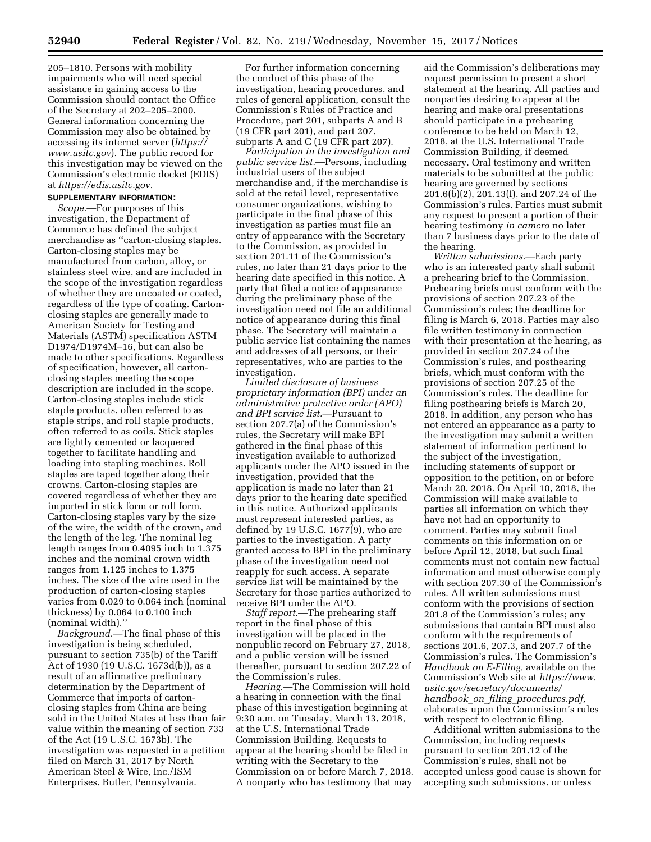205–1810. Persons with mobility impairments who will need special assistance in gaining access to the Commission should contact the Office of the Secretary at 202–205–2000. General information concerning the Commission may also be obtained by accessing its internet server (*[https://](https://www.usitc.gov) [www.usitc.gov](https://www.usitc.gov)*). The public record for this investigation may be viewed on the Commission's electronic docket (EDIS) at *[https://edis.usitc.gov.](https://edis.usitc.gov)* 

# **SUPPLEMENTARY INFORMATION:**

*Scope.*—For purposes of this investigation, the Department of Commerce has defined the subject merchandise as ''carton-closing staples. Carton-closing staples may be manufactured from carbon, alloy, or stainless steel wire, and are included in the scope of the investigation regardless of whether they are uncoated or coated, regardless of the type of coating. Cartonclosing staples are generally made to American Society for Testing and Materials (ASTM) specification ASTM D1974/D1974M–16, but can also be made to other specifications. Regardless of specification, however, all cartonclosing staples meeting the scope description are included in the scope. Carton-closing staples include stick staple products, often referred to as staple strips, and roll staple products, often referred to as coils. Stick staples are lightly cemented or lacquered together to facilitate handling and loading into stapling machines. Roll staples are taped together along their crowns. Carton-closing staples are covered regardless of whether they are imported in stick form or roll form. Carton-closing staples vary by the size of the wire, the width of the crown, and the length of the leg. The nominal leg length ranges from 0.4095 inch to 1.375 inches and the nominal crown width ranges from 1.125 inches to 1.375 inches. The size of the wire used in the production of carton-closing staples varies from 0.029 to 0.064 inch (nominal thickness) by 0.064 to 0.100 inch (nominal width).

*Background.*—The final phase of this investigation is being scheduled, pursuant to section 735(b) of the Tariff Act of 1930 (19 U.S.C. 1673d(b)), as a result of an affirmative preliminary determination by the Department of Commerce that imports of cartonclosing staples from China are being sold in the United States at less than fair value within the meaning of section 733 of the Act (19 U.S.C. 1673b). The investigation was requested in a petition filed on March 31, 2017 by North American Steel & Wire, Inc./ISM Enterprises, Butler, Pennsylvania.

For further information concerning the conduct of this phase of the investigation, hearing procedures, and rules of general application, consult the Commission's Rules of Practice and Procedure, part 201, subparts A and B (19 CFR part 201), and part 207, subparts A and C (19 CFR part 207).

*Participation in the investigation and public service list.*—Persons, including industrial users of the subject merchandise and, if the merchandise is sold at the retail level, representative consumer organizations, wishing to participate in the final phase of this investigation as parties must file an entry of appearance with the Secretary to the Commission, as provided in section 201.11 of the Commission's rules, no later than 21 days prior to the hearing date specified in this notice. A party that filed a notice of appearance during the preliminary phase of the investigation need not file an additional notice of appearance during this final phase. The Secretary will maintain a public service list containing the names and addresses of all persons, or their representatives, who are parties to the investigation.

*Limited disclosure of business proprietary information (BPI) under an administrative protective order (APO) and BPI service list.*—Pursuant to section 207.7(a) of the Commission's rules, the Secretary will make BPI gathered in the final phase of this investigation available to authorized applicants under the APO issued in the investigation, provided that the application is made no later than 21 days prior to the hearing date specified in this notice. Authorized applicants must represent interested parties, as defined by 19 U.S.C. 1677(9), who are parties to the investigation. A party granted access to BPI in the preliminary phase of the investigation need not reapply for such access. A separate service list will be maintained by the Secretary for those parties authorized to receive BPI under the APO.

*Staff report.*—The prehearing staff report in the final phase of this investigation will be placed in the nonpublic record on February 27, 2018, and a public version will be issued thereafter, pursuant to section 207.22 of the Commission's rules.

*Hearing.*—The Commission will hold a hearing in connection with the final phase of this investigation beginning at 9:30 a.m. on Tuesday, March 13, 2018, at the U.S. International Trade Commission Building. Requests to appear at the hearing should be filed in writing with the Secretary to the Commission on or before March 7, 2018. A nonparty who has testimony that may

aid the Commission's deliberations may request permission to present a short statement at the hearing. All parties and nonparties desiring to appear at the hearing and make oral presentations should participate in a prehearing conference to be held on March 12, 2018, at the U.S. International Trade Commission Building, if deemed necessary. Oral testimony and written materials to be submitted at the public hearing are governed by sections 201.6(b)(2), 201.13(f), and 207.24 of the Commission's rules. Parties must submit any request to present a portion of their hearing testimony *in camera* no later than 7 business days prior to the date of the hearing.

*Written submissions.*—Each party who is an interested party shall submit a prehearing brief to the Commission. Prehearing briefs must conform with the provisions of section 207.23 of the Commission's rules; the deadline for filing is March 6, 2018. Parties may also file written testimony in connection with their presentation at the hearing, as provided in section 207.24 of the Commission's rules, and posthearing briefs, which must conform with the provisions of section 207.25 of the Commission's rules. The deadline for filing posthearing briefs is March 20, 2018. In addition, any person who has not entered an appearance as a party to the investigation may submit a written statement of information pertinent to the subject of the investigation, including statements of support or opposition to the petition, on or before March 20, 2018. On April 10, 2018, the Commission will make available to parties all information on which they have not had an opportunity to comment. Parties may submit final comments on this information on or before April 12, 2018, but such final comments must not contain new factual information and must otherwise comply with section 207.30 of the Commission's rules. All written submissions must conform with the provisions of section 201.8 of the Commission's rules; any submissions that contain BPI must also conform with the requirements of sections 201.6, 207.3, and 207.7 of the Commission's rules. The Commission's *Handbook on E-Filing,* available on the Commission's Web site at *[https://www.](https://www.usitc.gov/secretary/documents/handbook_on_filing_procedures.pdf) [usitc.gov/secretary/documents/](https://www.usitc.gov/secretary/documents/handbook_on_filing_procedures.pdf)  handbook*\_*on*\_*filing*\_*[procedures.pdf,](https://www.usitc.gov/secretary/documents/handbook_on_filing_procedures.pdf)*  elaborates upon the Commission's rules with respect to electronic filing.

Additional written submissions to the Commission, including requests pursuant to section 201.12 of the Commission's rules, shall not be accepted unless good cause is shown for accepting such submissions, or unless